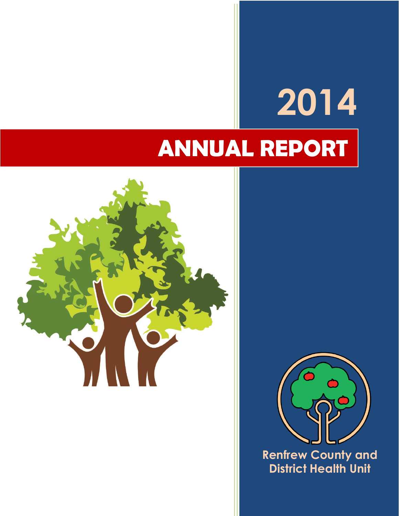# **2014 ANNUAL REPORT**





**Renfrew County and District Health Unit**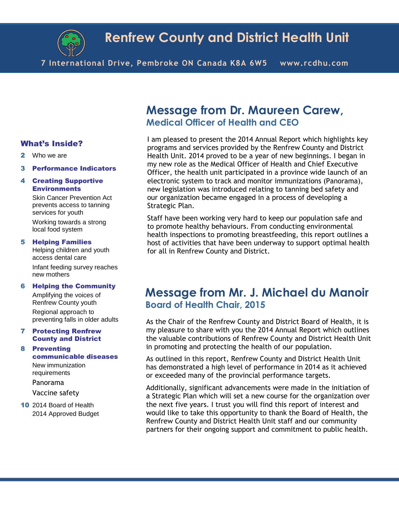

**7 International Drive, Pembroke ON Canada K8A 6W5 www.rcdhu.com**

#### What's Inside?

- 2 Who we are
- 3 Performance Indicators

#### 4 Creating Supportive **Environments**

Skin Cancer Prevention Act prevents access to tanning services for youth

Working towards a strong local food system

#### 5 Helping Families

Helping children and youth access dental care Infant feeding survey reaches new mothers

#### 6 Helping the Community

Amplifying the voices of Renfrew County youth Regional approach to preventing falls in older adults

#### 7 Protecting Renfrew County and District

8 Preventing communicable diseases New immunization requirements Panorama

Vaccine safety

10 2014 Board of Health 2014 Approved Budget

### **Message from Dr. Maureen Carew, Medical Officer of Health and CEO**

I am pleased to present the 2014 Annual Report which highlights key programs and services provided by the Renfrew County and District Health Unit. 2014 proved to be a year of new beginnings. I began in my new role as the Medical Officer of Health and Chief Executive Officer, the health unit participated in a province wide launch of an electronic system to track and monitor immunizations (Panorama), new legislation was introduced relating to tanning bed safety and our organization became engaged in a process of developing a Strategic Plan.

Staff have been working very hard to keep our population safe and to promote healthy behaviours. From conducting environmental health inspections to promoting breastfeeding, this report outlines a host of activities that have been underway to support optimal health for all in Renfrew County and District.

### **Message from Mr. J. Michael du Manoir Board of Health Chair, 2015**

As the Chair of the Renfrew County and District Board of Health, it is my pleasure to share with you the 2014 Annual Report which outlines the valuable contributions of Renfrew County and District Health Unit in promoting and protecting the health of our population.

As outlined in this report, Renfrew County and District Health Unit has demonstrated a high level of performance in 2014 as it achieved or exceeded many of the provincial performance targets.

Additionally, significant advancements were made in the initiation of a Strategic Plan which will set a new course for the organization over the next five years. I trust you will find this report of interest and would like to take this opportunity to thank the Board of Health, the Renfrew County and District Health Unit staff and our community partners for their ongoing support and commitment to public health.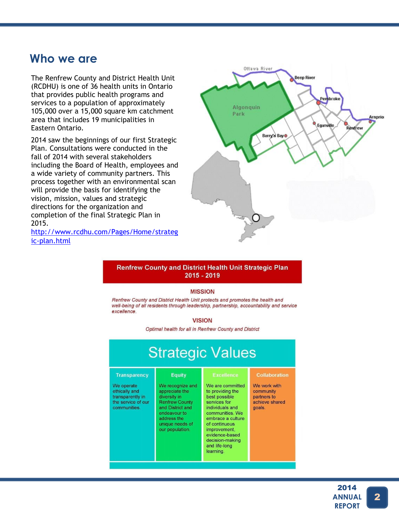### **Who we are**

The Renfrew County and District Health Unit (RCDHU) is one of 36 health units in Ontario that provides public health programs and services to a population of approximately 105,000 over a 15,000 square km catchment area that includes 19 municipalities in Eastern Ontario.

2014 saw the beginnings of our first Strategic Plan. Consultations were conducted in the fall of 2014 with several stakeholders including the Board of Health, employees and a wide variety of community partners. This process together with an environmental scan will provide the basis for identifying the vision, mission, values and strategic directions for the organization and completion of the final Strategic Plan in 2015.

[http://www.rcdhu.com/Pages/Home/strateg](http://www.rcdhu.com/Pages/Home/strategic-plan.html) [ic-plan.html](http://www.rcdhu.com/Pages/Home/strategic-plan.html)



#### Renfrew County and District Health Unit Strategic Plan  $2015 - 2019$

#### **MISSION**

Renfrew County and District Health Unit protects and promotes the health and well-being of all residents through leadership, partnership, accountability and service excellence.

#### **VISION**

Optimal health for all in Renfrew County and District

| <b>Strategic Values</b>                                                                                      |                                                                                                                                                                                       |                                                                                                                                                                                                                                                           |                                                                                              |  |  |
|--------------------------------------------------------------------------------------------------------------|---------------------------------------------------------------------------------------------------------------------------------------------------------------------------------------|-----------------------------------------------------------------------------------------------------------------------------------------------------------------------------------------------------------------------------------------------------------|----------------------------------------------------------------------------------------------|--|--|
| <b>Transparency</b><br>We operate<br>ethically and<br>transparently in<br>the service of our<br>communities. | <b>Equity</b><br>We recognize and<br>appreciate the<br>diversity in<br><b>Renfrew County</b><br>and District and<br>endeavour to<br>address the<br>unique needs of<br>our population. | <b>Excellence</b><br>We are committed<br>to providing the<br>best possible<br>services for<br>individuals and<br>communities. We<br>embrace a culture<br>of continuous<br>improvement,<br>evidence-based<br>decision-making<br>and life-long<br>learning. | <b>Collaboration</b><br>We work with<br>community<br>partners to<br>achieve shared<br>goals. |  |  |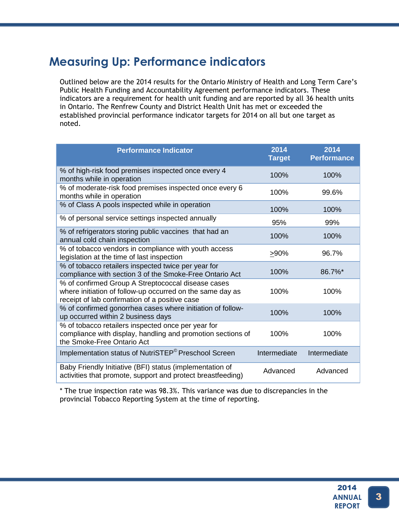# **Measuring Up: Performance indicators**

Outlined below are the 2014 results for the Ontario Ministry of Health and Long Term Care's Public Health Funding and Accountability Agreement performance indicators. These indicators are a requirement for health unit funding and are reported by all 36 health units in Ontario. The Renfrew County and District Health Unit has met or exceeded the established provincial performance indicator targets for 2014 on all but one target as noted.

| <b>Performance Indicator</b>                                                                                                                                      | 2014<br><b>Target</b> | 2014<br><b>Performance</b> |
|-------------------------------------------------------------------------------------------------------------------------------------------------------------------|-----------------------|----------------------------|
| % of high-risk food premises inspected once every 4<br>months while in operation                                                                                  | 100%                  | 100%                       |
| % of moderate-risk food premises inspected once every 6<br>months while in operation                                                                              | 100%                  | 99.6%                      |
| % of Class A pools inspected while in operation                                                                                                                   | 100%                  | 100%                       |
| % of personal service settings inspected annually                                                                                                                 | 95%                   | 99%                        |
| % of refrigerators storing public vaccines that had an<br>annual cold chain inspection                                                                            | 100%                  | 100%                       |
| % of tobacco vendors in compliance with youth access<br>legislation at the time of last inspection                                                                | >90%                  | 96.7%                      |
| % of tobacco retailers inspected twice per year for<br>compliance with section 3 of the Smoke-Free Ontario Act                                                    | 100%                  | 86.7%*                     |
| % of confirmed Group A Streptococcal disease cases<br>where initiation of follow-up occurred on the same day as<br>receipt of lab confirmation of a positive case | 100%                  | 100%                       |
| % of confirmed gonorrhea cases where initiation of follow-<br>up occurred within 2 business days                                                                  | 100%                  | 100%                       |
| % of tobacco retailers inspected once per year for<br>compliance with display, handling and promotion sections of<br>the Smoke-Free Ontario Act                   | 100%                  | 100%                       |
| Implementation status of NutriSTEP <sup>®</sup> Preschool Screen                                                                                                  | Intermediate          | Intermediate               |
| Baby Friendly Initiative (BFI) status (implementation of<br>activities that promote, support and protect breastfeeding)                                           | Advanced              | Advanced                   |

\* The true inspection rate was 98.3%. This variance was due to discrepancies in the provincial Tobacco Reporting System at the time of reporting.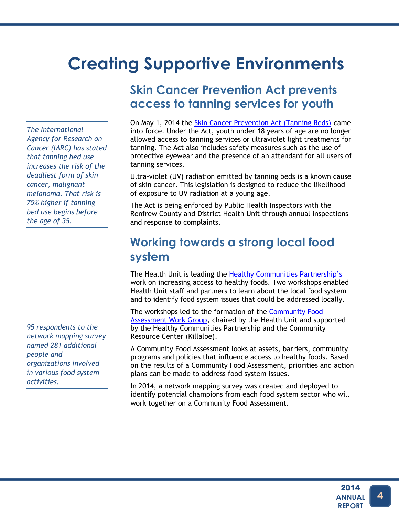# **Creating Supportive Environments**

*The International Agency for Research on Cancer (IARC) has stated that tanning bed use increases the risk of the deadliest form of skin cancer, malignant melanoma. That risk is 75% higher if tanning bed use begins before the age of 35.*

*95 respondents to the network mapping survey named 281 additional people and organizations involved in various food system activities.*

# **Skin Cancer Prevention Act prevents access to tanning services for youth**

On May 1, 2014 the [Skin Cancer Prevention Act \(Tanning Beds\)](http://www.health.gov.on.ca/en/public/programs/tanning/) came into force. Under the Act, youth under 18 years of age are no longer allowed access to tanning services or ultraviolet light treatments for tanning. The Act also includes safety measures such as the use of protective eyewear and the presence of an attendant for all users of tanning services.

Ultra-violet (UV) radiation emitted by tanning beds is a known cause of skin cancer. This legislation is designed to reduce the likelihood of exposure to UV radiation at a young age.

The Act is being enforced by Public Health Inspectors with the Renfrew County and District Health Unit through annual inspections and response to complaints.

# **Working towards a strong local food system**

The Health Unit is leading the [Healthy Communities Partnership's](http://www.physicalactivitynetwork.ca/HCP) work on increasing access to healthy foods. Two workshops enabled Health Unit staff and partners to learn about the local food system and to identify food system issues that could be addressed locally.

The workshops led to the formation of the [Community Food](http://www.physicalactivitynetwork.ca/food-system) [Assessment Work Group,](http://www.physicalactivitynetwork.ca/food-system) chaired by the Health Unit and supported by the Healthy Communities Partnership and the Community Resource Center (Killaloe).

A Community Food Assessment looks at assets, barriers, community programs and policies that influence access to healthy foods. Based on the results of a Community Food Assessment, priorities and action plans can be made to address food system issues.

In 2014, a network mapping survey was created and deployed to identify potential champions from each food system sector who will work together on a Community Food Assessment.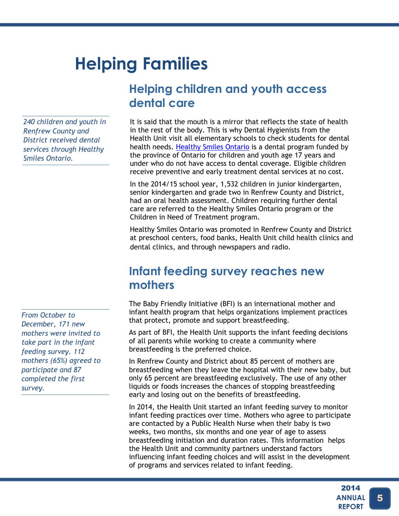# **Helping Families**

*240 children and youth in Renfrew County and District received dental services through Healthy Smiles Ontario.*

*From October to December, 171 new mothers were invited to take part in the infant feeding survey. 112 mothers (65%) agreed to participate and 87 completed the first survey.*

# **Helping children and youth access dental care**

It is said that the mouth is a mirror that reflects the state of health in the rest of the body. This is why Dental Hygienists from the Health Unit visit all elementary schools to check students for dental health needs. [Healthy Smiles Ontario](https://www.ontario.ca/page/get-dental-care) is a dental program funded by the province of Ontario for children and youth age 17 years and under who do not have access to dental coverage. Eligible children receive preventive and early treatment dental services at no cost.

In the 2014/15 school year, 1,532 children in junior kindergarten, senior kindergarten and grade two in Renfrew County and District, had an oral health assessment. Children requiring further dental care are referred to the Healthy Smiles Ontario program or the Children in Need of Treatment program.

Healthy Smiles Ontario was promoted in Renfrew County and District at preschool centers, food banks, Health Unit child health clinics and dental clinics, and through newspapers and radio.

### **Infant feeding survey reaches new mothers**

The Baby Friendly Initiative (BFI) is an international mother and infant health program that helps organizations implement practices that protect, promote and support breastfeeding.

As part of BFI, the Health Unit supports the infant feeding decisions of all parents while working to create a community where breastfeeding is the preferred choice.

In Renfrew County and District about 85 percent of mothers are breastfeeding when they leave the hospital with their new baby, but only 65 percent are breastfeeding exclusively. The use of any other liquids or foods increases the chances of stopping breastfeeding early and losing out on the benefits of breastfeeding.

In 2014, the Health Unit started an infant feeding survey to monitor infant feeding practices over time. Mothers who agree to participate are contacted by a Public Health Nurse when their baby is two weeks, two months, six months and one year of age to assess breastfeeding initiation and duration rates. This information helps the Health Unit and community partners understand factors influencing infant feeding choices and will assist in the development of programs and services related to infant feeding.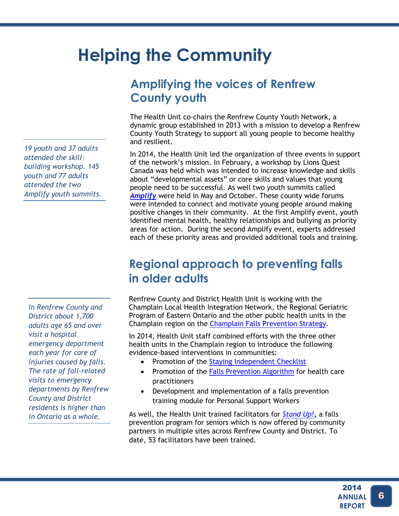# **Helping the Community**

**Amplifying the voices of Renfrew County youth**

The Health Unit co-chairs the Renfrew County Youth Network, a dynamic group established in 2013 with a mission to develop a Renfrew County Youth Strategy to support all young people to become healthy and resilient.

In 2014, the Health Unit led the organization of three events in support of the network's mission. In February, a workshop by Lions Quest Canada was held which was intended to increase knowledge and skills about "developmental assets" or core skills and values that young people need to be successful. As well two youth summits called *[Amplify](http://www.thrive4youth.com/amplify)* were held in May and October. These county wide forums were intended to connect and motivate young people around making positive changes in their community. At the first Amplify event, youth identified mental health, healthy relationships and bullying as priority areas for action. During the second Amplify event, experts addressed each of these priority areas and provided additional tools and training.

# **Regional approach to preventing falls in older adults**

Renfrew County and District Health Unit is working with the Champlain Local Health Integration Network, the Regional Geriatric Program of Eastern Ontario and the other public health units in the Champlain region on the [Champlain Falls Prevention Strategy.](http://www.champlainhealthline.ca/libraryContent.aspx?id=20585)

In 2014, Health Unit staff combined efforts with the three other health units in the Champlain region to introduce the following evidence-based interventions in communities:

- Promotion of the [Staying Independent Checklist](http://www.champlainhealthline.ca/healthlibrary_docs/StayingIndependentChecklist_En.pdf)
- Promotion of the Falls [Prevention Algorithm](http://www.champlainhealthline.ca/healthlibrary_docs/FallsPreventionAlgorithm.pdf) for health care practitioners
- Development and implementation of a falls prevention training module for Personal Support Workers

As well, the Health Unit trained facilitators for *[Stand Up!](http://www.rcdhu.com/Pages/InjurySubstanceMisuse/injury_adult-stand-up.html)***,** a falls prevention program for seniors which is now offered by community partners in multiple sites across Renfrew County and District. To date, 53 facilitators have been trained.

*19 youth and 37 adults attended the skillbuilding workshop. 145 youth and 77 adults attended the two Amplify youth summits.*

*In Renfrew County and District about 1,700 adults age 65 and over visit a hospital emergency department each year for care of injuries caused by falls. The rate of fall-related visits to emergency departments by Renfrew County and District residents is higher than in Ontario as a whole.*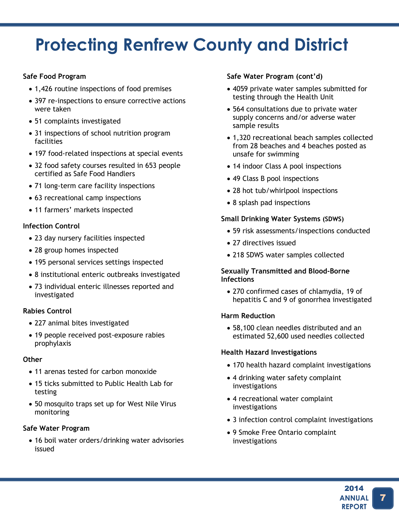### RCDHU 2014 Annual Report **Protecting Renfrew County and District**

#### **Safe Food Program**

- 1,426 routine inspections of food premises
- 397 re-inspections to ensure corrective actions were taken
- 51 complaints investigated
- 31 inspections of school nutrition program facilities
- 197 food-related inspections at special events
- 32 food safety courses resulted in 653 people certified as Safe Food Handlers
- 71 long-term care facility inspections
- 63 recreational camp inspections
- 11 farmers' markets inspected

#### **Infection Control**

- 23 day nursery facilities inspected
- 28 group homes inspected
- 195 personal services settings inspected
- 8 institutional enteric outbreaks investigated
- 73 individual enteric illnesses reported and investigated

#### **Rabies Control**

- 227 animal bites investigated
- 19 people received post-exposure rabies prophylaxis

#### **Other**

- 11 arenas tested for carbon monoxide
- 15 ticks submitted to Public Health Lab for testing
- 50 mosquito traps set up for West Nile Virus monitoring

#### **Safe Water Program**

 16 boil water orders/drinking water advisories issued

#### **Safe Water Program (cont'd)**

- 4059 private water samples submitted for testing through the Health Unit
- 564 consultations due to private water supply concerns and/or adverse water sample results
- 1,320 recreational beach samples collected from 28 beaches and 4 beaches posted as unsafe for swimming
- 14 indoor Class A pool inspections
- 49 Class B pool inspections
- 28 hot tub/whirlpool inspections
- 8 splash pad inspections

#### **Small Drinking Water Systems (SDWS)**

- 59 risk assessments/inspections conducted
- 27 directives issued
- 218 SDWS water samples collected

#### **Sexually Transmitted and Blood-Borne Infections**

 270 confirmed cases of chlamydia, 19 of hepatitis C and 9 of gonorrhea investigated

#### **Harm Reduction**

 58,100 clean needles distributed and an estimated 52,600 used needles collected

#### **Health Hazard Investigations**

- 170 health hazard complaint investigations
- 4 drinking water safety complaint investigations
- 4 recreational water complaint investigations
- 3 infection control complaint investigations
- 9 Smoke Free Ontario complaint investigations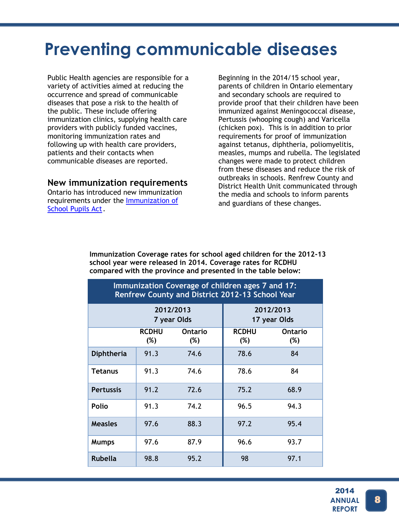# **Preventing communicable diseases**

Public Health agencies are responsible for a variety of activities aimed at reducing the occurrence and spread of communicable diseases that pose a risk to the health of the public. These include offering immunization clinics, supplying health care providers with publicly funded vaccines, monitoring immunization rates and following up with health care providers, patients and their contacts when communicable diseases are reported.

**New immunization requirements**

Ontario has introduced new immunization requirements under the [Immunization of](http://www.ontario.ca/laws/regulation/900645) [School Pupils Act.](http://www.ontario.ca/laws/regulation/900645)

Beginning in the 2014/15 school year, parents of children in Ontario elementary and secondary schools are required to provide proof that their children have been immunized against Meningococcal disease, Pertussis (whooping cough) and Varicella (chicken pox). This is in addition to prior requirements for proof of immunization against tetanus, diphtheria, poliomyelitis, measles, mumps and rubella. The legislated changes were made to protect children from these diseases and reduce the risk of outbreaks in schools. Renfrew County and District Health Unit communicated through the media and schools to inform parents and guardians of these changes.

**Immunization Coverage rates for school aged children for the 2012-13 school year were released in 2014. Coverage rates for RCDHU compared with the province and presented in the table below:**

| Immunization Coverage of children ages 7 and 17:<br>Renfrew County and District 2012-13 School Year |                          |                       |                           |                          |  |  |
|-----------------------------------------------------------------------------------------------------|--------------------------|-----------------------|---------------------------|--------------------------|--|--|
|                                                                                                     | 2012/2013<br>7 year Olds |                       | 2012/2013<br>17 year Olds |                          |  |  |
|                                                                                                     | <b>RCDHU</b><br>$(\%)$   | <b>Ontario</b><br>(%) | <b>RCDHU</b><br>$(\%)$    | <b>Ontario</b><br>$(\%)$ |  |  |
| <b>Diphtheria</b>                                                                                   | 91.3                     | 74.6                  | 78.6                      | 84                       |  |  |
| <b>Tetanus</b>                                                                                      | 91.3                     | 74.6                  | 78.6                      | 84                       |  |  |
| <b>Pertussis</b>                                                                                    | 91.2                     | 72.6                  | 75.2                      | 68.9                     |  |  |
| <b>Polio</b>                                                                                        | 91.3                     | 74.2                  | 96.5                      | 94.3                     |  |  |
| <b>Measles</b>                                                                                      | 97.6                     | 88.3                  | 97.2                      | 95.4                     |  |  |
| <b>Mumps</b>                                                                                        | 97.6                     | 87.9                  | 96.6                      | 93.7                     |  |  |
| <b>Rubella</b>                                                                                      | 98.8                     | 95.2                  | 98                        | 97.1                     |  |  |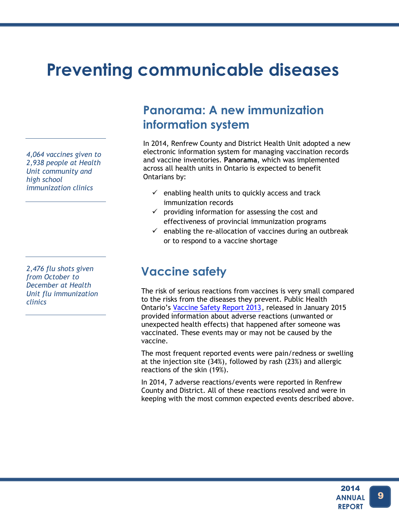# **Preventing communicable diseases**

*4,064 vaccines given to 2,938 people at Health Unit community and high school immunization clinics*

*2,476 flu shots given from October to December at Health Unit flu immunization clinics* 

## **Panorama: A new immunization information system**

In 2014, Renfrew County and District Health Unit adopted a new electronic information system for managing vaccination records and vaccine inventories. **Panorama**, which was implemented across all health units in Ontario is expected to benefit Ontarians by:

- $\checkmark$  enabling health units to quickly access and track immunization records
- $\checkmark$  providing information for assessing the cost and effectiveness of provincial immunization programs
- $\checkmark$  enabling the re-allocation of vaccines during an outbreak or to respond to a vaccine shortage

# **Vaccine safety**

The risk of serious reactions from vaccines is very small compared to the risks from the diseases they prevent. Public Health Ontario's [Vaccine Safety Report 2013,](http://www.publichealthontario.ca/en/BrowseByTopic/InfectiousDiseases/Pages/Vaccine-Safety.aspx) released in January 2015 provided information about adverse reactions (unwanted or unexpected health effects) that happened after someone was vaccinated. These events may or may not be caused by the vaccine.

The most frequent reported events were pain/redness or swelling at the injection site (34%), followed by rash (23%) and allergic reactions of the skin (19%).

In 2014, 7 adverse reactions/events were reported in Renfrew County and District. All of these reactions resolved and were in keeping with the most common expected events described above.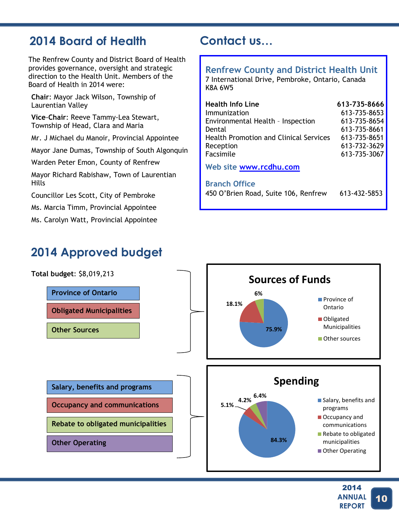# **2014 Board of Health**

The Renfrew County and District Board of Health provides governance, oversight and strategic direction to the Health Unit. Members of the Board of Health in 2014 were:

**Chair**: Mayor Jack Wilson, Township of Laurentian Valley

**Vice**-**Chair**: Reeve Tammy-Lea Stewart, Township of Head, Clara and Maria

Mr. J Michael du Manoir, Provincial Appointee

Mayor Jane Dumas, Township of South Algonquin

Warden Peter Emon, County of Renfrew

Mayor Richard Rabishaw, Town of Laurentian Hills

Councillor Les Scott, City of Pembroke

Ms. Marcia Timm, Provincial Appointee

Ms. Carolyn Watt, Provincial Appointee

# **2014 Approved budget**

# **Contact us…**

#### **Renfrew County and District Health Unit**

7 International Drive, Pembroke, Ontario, Canada K8A 6W5

| <b>Health Info Line</b>                       | 613-735-8666 |
|-----------------------------------------------|--------------|
| Immunization                                  | 613-735-8653 |
| Environmental Health - Inspection             | 613-735-8654 |
| Dental                                        | 613-735-8661 |
| <b>Health Promotion and Clinical Services</b> | 613-735-8651 |
| Reception                                     | 613-732-3629 |
| Facsimile                                     | 613-735-3067 |

**Web site [www.rcdhu.com](http://www.rcdhu.com/)**

#### **Branch Office**

450 O'Brien Road, Suite 106, Renfrew 613-432-5853